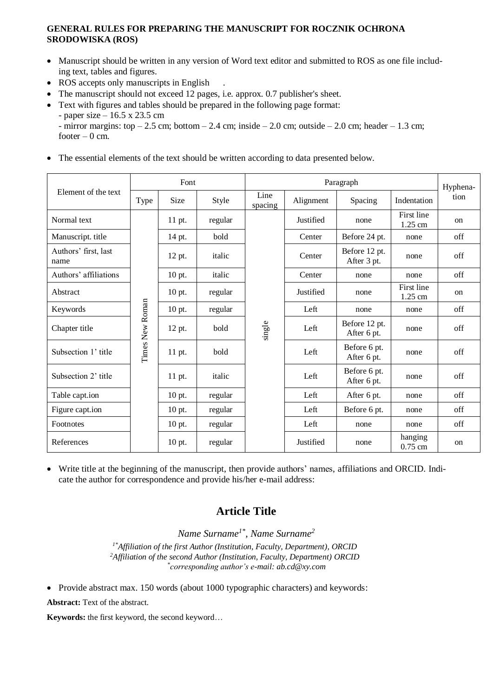# **GENERAL RULES FOR PREPARING THE MANUSCRIPT FOR ROCZNIK OCHRONA SRODOWISKA (ROS)**

- Manuscript should be written in any version of Word text editor and submitted to ROS as one file including text, tables and figures.
- ROS accepts only manuscripts in English
- The manuscript should not exceed 12 pages, i.e. approx. 0.7 publisher's sheet.
- Text with figures and tables should be prepared in the following page format:
	- paper size 16.5 x 23.5 cm

• The essential elements of the text should be written according to data presented below.

| Element of the text          | Font            |        |         | Paragraph       |           |                              |                         | Hyphena-      |
|------------------------------|-----------------|--------|---------|-----------------|-----------|------------------------------|-------------------------|---------------|
|                              | Type            | Size   | Style   | Line<br>spacing | Alignment | Spacing                      | Indentation             | tion          |
| Normal text                  | Times New Roman | 11 pt. | regular | single          | Justified | none                         | First line<br>1.25 cm   | on            |
| Manuscript. title            |                 | 14 pt. | bold    |                 | Center    | Before 24 pt.                | none                    | off           |
| Authors' first, last<br>name |                 | 12 pt. | italic  |                 | Center    | Before 12 pt.<br>After 3 pt. | none                    | off           |
| Authors' affiliations        |                 | 10 pt. | italic  |                 | Center    | none                         | none                    | off           |
| Abstract                     |                 | 10 pt. | regular |                 | Justified | none                         | First line<br>$1.25$ cm | on            |
| Keywords                     |                 | 10 pt. | regular |                 | Left      | none                         | none                    | off           |
| Chapter title                |                 | 12 pt. | bold    |                 | Left      | Before 12 pt.<br>After 6 pt. | none                    | off           |
| Subsection 1' title          |                 | 11 pt. | bold    |                 | Left      | Before 6 pt.<br>After 6 pt.  | none                    | off           |
| Subsection 2' title          |                 | 11 pt. | italic  |                 | Left      | Before 6 pt.<br>After 6 pt.  | none                    | off           |
| Table capt.ion               |                 | 10 pt. | regular |                 | Left      | After 6 pt.                  | none                    | off           |
| Figure capt.ion              |                 | 10 pt. | regular |                 | Left      | Before 6 pt.                 | none                    | off           |
| Footnotes                    |                 | 10 pt. | regular |                 | Left      | none                         | none                    | off           |
| References                   |                 | 10 pt. | regular |                 | Justified | none                         | hanging<br>$0.75$ cm    | <sub>on</sub> |

• Write title at the beginning of the manuscript, then provide authors' names, affiliations and ORCID. Indicate the author for correspondence and provide his/her e-mail address:

# **Article Title**

*Name Surname1\*, Name Surname<sup>2</sup> 1\*Affiliation of the first Author (Institution, Faculty, Department), ORCID <sup>2</sup>Affiliation of the second Author (Institution, Faculty, Department) ORCID \* corresponding author's e-mail: ab.cd@xy.com*

• Provide abstract max. 150 words (about 1000 typographic characters) and keywords:

**Abstract:** Text of the abstract.

**Keywords:** the first keyword, the second keyword…

<sup>-</sup> mirror margins: top  $-2.5$  cm; bottom  $-2.4$  cm; inside  $-2.0$  cm; outside  $-2.0$  cm; header  $-1.3$  cm; footer  $-0$  cm.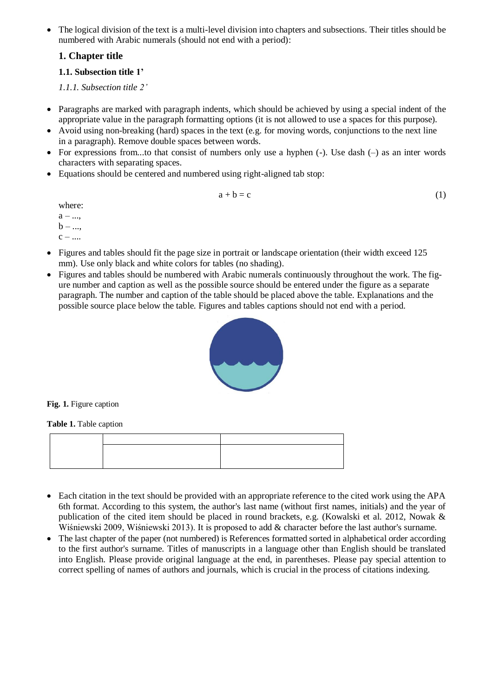• The logical division of the text is a multi-level division into chapters and subsections. Their titles should be numbered with Arabic numerals (should not end with a period):

# **1. Chapter title**

## **1.1. Subsection title 1'**

*1.1.1. Subsection title 2'*

- Paragraphs are marked with paragraph indents, which should be achieved by using a special indent of the appropriate value in the paragraph formatting options (it is not allowed to use a spaces for this purpose).
- Avoid using non-breaking (hard) spaces in the text (e.g. for moving words, conjunctions to the next line in a paragraph). Remove double spaces between words.
- For expressions from...to that consist of numbers only use a hyphen  $(-)$ . Use dash  $(-)$  as an inter words characters with separating spaces.
- Equations should be centered and numbered using right-aligned tab stop:

$$
a + b = c \tag{1}
$$

where:  $a - ...$  $\mathbf{b}$  – ...,

- $c ...$
- Figures and tables should fit the page size in portrait or landscape orientation (their width exceed 125 mm). Use only black and white colors for tables (no shading).
- Figures and tables should be numbered with Arabic numerals continuously throughout the work. The figure number and caption as well as the possible source should be entered under the figure as a separate paragraph. The number and caption of the table should be placed above the table. Explanations and the possible source place below the table. Figures and tables captions should not end with a period.



**Fig. 1.** Figure caption

**Table 1.** Table caption

- Each citation in the text should be provided with an appropriate reference to the cited work using the APA 6th format. According to this system, the author's last name (without first names, initials) and the year of publication of the cited item should be placed in round brackets, e.g. (Kowalski et al. 2012, Nowak & Wiśniewski 2009, Wiśniewski 2013). It is proposed to add & character before the last author's surname.
- The last chapter of the paper (not numbered) is References formatted sorted in alphabetical order according to the first author's surname. Titles of manuscripts in a language other than English should be translated into English. Please provide original language at the end, in parentheses. Please pay special attention to correct spelling of names of authors and journals, which is crucial in the process of citations indexing.